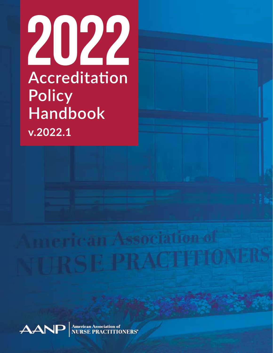



**American Association of<br>NURSE PRACTITIONERS'**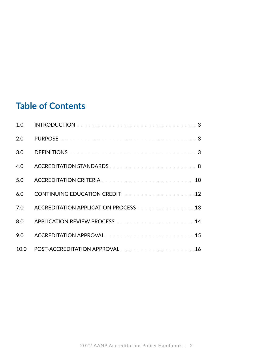### **Table of Contents**

| 1.0  |                                      |
|------|--------------------------------------|
| 2.0  |                                      |
| 3.0  |                                      |
| 4.0  |                                      |
| 5.0  |                                      |
| 6.0  |                                      |
| 7.0  | ACCREDITATION APPLICATION PROCESS 13 |
| 8.0  |                                      |
| 9.0  |                                      |
| 10.0 |                                      |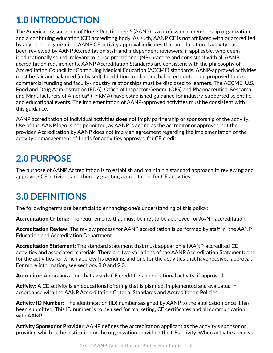# **1.0 INTRODUCTION**

The American Association of Nurse Practitioners® (AANP) is a professional membership organization and a continuing education (CE) accrediting body. As such, AANP CE is not affiliated with or accredited by any other organization. AANP CE activity approval indicates that an educational activity has been reviewed by AANP Accreditation staff and independent reviewers, if applicable, who deem it educationally sound, relevant to nurse practitioner (NP) practice and consistent with all AANP accreditation requirements. AANP Accreditation Standards are consistent with the philosophy of Accreditation Council for Continuing Medical Education (ACCME) standards. AANP-approved activities must be fair and balanced (unbiased). In addition to planning balanced content on proposed topics, commercial funding and faculty-industry relationships must be disclosed to learners. The ACCME, U.S. Food and Drug Administration (FDA), Office of Inspector General (OIG) and Pharmaceutical Research and Manufacturers of America® (PhRMA) have established guidance for industry-supported scientific and educational events. The implementation of AANP-approved activities must be consistent with this guidance.

AANP accreditation of individual activities **does not** imply partnership or sponsorship of the activity. Use of the AANP logo is not permitted, as AANP is acting as the accreditor or approver, not the provider. Accreditation by AANP does not imply an agreement regarding the implementation of the activity or management of funds for activities approved for CE credit.

### **2.0 PURPOSE**

The purpose of AANP Accreditation is to establish and maintain a standard approach to reviewing and approving CE activities and thereby granting accreditation for CE activities.

## **3.0 DEFINITIONS**

The following terms are beneficial to enhancing one's understanding of this policy:

Accreditation Criteria: The requirements that must be met to be approved for AANP accreditation.

Accreditation Review: The review process for AANP accreditation is performed by staff in the AANP Education and Accreditation Department.

Accreditation Statement: The standard statement that must appear on all AANP-accredited CE activities and associated materials. There are two variations of the AANP Accreditation Statement: one for the activities for which approval is pending, and one for the activities that have received approval. For more information, see sections 8.0 and 9.0.

Accreditor: An organization that awards CE credit for an educational activity, if approved.

Activity: A CE activity is an educational offering that is planned, implemented and evaluated in accordance with the AANP Accreditation Criteria, Standards and Accreditation Policies.

Activity ID Number: The identification (ID) number assigned by AANP to the application once it has been submitted. This ID number is to be used for marketing, CE certificates and all communication with AANP.

Activity Sponsor or Provider: AANP defines the accreditation applicant as the activity's sponsor or provider, which is the institution or the organization providing the CE activity. When activities receive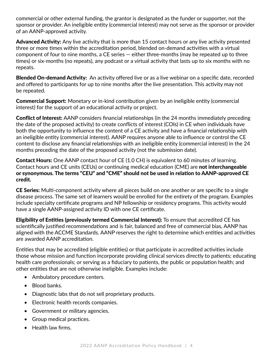commercial or other external funding, the grantor is designated as the funder or supporter, not the sponsor or provider. An ineligible entity (commercial interest) may not serve as the sponsor or provider of an AANP-approved activity.

Advanced Activity: Any live activity that is more than 15 contact hours or any live activity presented three or more times within the accreditation period, blended on-demand activities with a virtual component of four to nine months, a CE series — either three-months (may be repeated up to three times) or six-months (no repeats), any podcast or a virtual activity that lasts up to six months with no repeats.

**Blended On-demand Activity:** An activity offered live or as a live webinar on a specific date, recorded and offered to participants for up to nine months after the live presentation. This activity may not be repeated.

Commercial Support: Monetary or in-kind contribution given by an ineligible entity (commercial interest) for the support of an educational activity or project.

Conflict of Interest: AANP considers financial relationships (in the 24 months immediately preceding the date of the proposed activity) to create conflicts of interest (COIs) in CE when individuals have both the opportunity to influence the content of a CE activity and have a financial relationship with an ineligible entity (commercial interest). AANP requires anyone able to influence or control the CE content to disclose any financial relationships with an ineligible entity (commercial interest) in the 24 months preceding the date of the proposed activity (not the submission date).

Contact Hours: One AANP contact hour of CE (1.0 CH) is equivalent to 60 minutes of learning. Contact hours and CE units (CEUs) or continuing medical education (CME) are not interchangeable or synonymous. The terms "CEU" and "CME" should not be used in relation to AANP-approved CE credit.

CE Series: Multi-component activity where all pieces build on one another or are specific to a single disease process. The same set of learners would be enrolled for the entirety of the program. Examples include specialty certificate programs and NP fellowship or residency programs. This activity would have a single AANP-assigned activity ID with one CE certificate.

Eligibility of Entities (previously termed Commercial Interest): To ensure that accredited CE has scientifically justified recommendations and is fair, balanced and free of commercial bias, AANP has aligned with the ACCME Standards. AANP reserves the right to determine which entities and activities are awarded AANP accreditation.

Entities that may be accredited (eligible entities) or that participate in accredited activities include those whose mission and function incorporate providing clinical services directly to patients; educating health care professionals; or serving as a fiduciary to patients, the public or population health; and other entities that are not otherwise ineligible. Examples include:

- Ambulatory procedure centers.
- Blood banks.
- Diagnostic labs that do not sell proprietary products.
- Electronic health records companies.
- Government or military agencies.
- Group medical practices.
- Health law firms.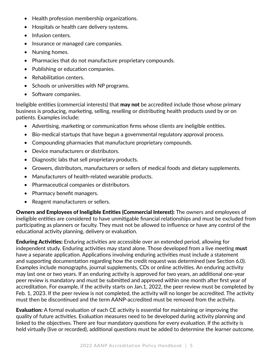- Health profession membership organizations.
- Hospitals or health care delivery systems.
- Infusion centers.
- Insurance or managed care companies.
- Nursing homes.
- Pharmacies that do not manufacture proprietary compounds.
- Publishing or education companies.
- Rehabilitation centers.
- Schools or universities with NP programs.
- Software companies.

Ineligible entities (commercial interests) that **may not** be accredited include those whose primary business is producing, marketing, selling, reselling or distributing health products used by or on patients. Examples include:

- Advertising, marketing or communication firms whose clients are ineligible entities.
- Bio-medical startups that have begun a governmental regulatory approval process.
- Compounding pharmacies that manufacture proprietary compounds.
- Device manufacturers or distributors.
- Diagnostic labs that sell proprietary products.
- Growers, distributors, manufacturers or sellers of medical foods and dietary supplements.
- Manufacturers of health-related wearable products.
- Pharmaceutical companies or distributors.
- Pharmacy benefit managers.
- Reagent manufacturers or sellers.

Owners and Employees of Ineligible Entities (Commercial Interest): The owners and employees of ineligible entities are considered to have unmitigable financial relationships and must be excluded from participating as planners or faculty. They must not be allowed to influence or have any control of the educational activity planning, delivery or evaluation.

Enduring Activities: Enduring activities are accessible over an extended period, allowing for independent study. Enduring activities may stand alone. Those developed from a live meeting **must** have a separate application. Applications involving enduring activities must include a statement and supporting documentation regarding how the credit request was determined (see Section 6.0). Examples include monographs, journal supplements, CDs or online activities. An enduring activity may last one or two years. If an enduring activity is approved for two years, an additional one-year peer review is mandatory and must be submitted and approved within one month after first year of accreditation. For example, if the activity starts on Jan.1, 2022, the peer review must be completed by Feb. 1, 2023. If the peer review is not completed, the activity will no longer be accredited. The activity must then be discontinued and the term AANP-accredited must be removed from the activity.

Evaluation: A formal evaluation of each CE activity is essential for maintaining or improving the quality of future activities. Evaluation measures need to be developed during activity planning and linked to the objectives. There are four mandatory questions for every evaluation. If the activity is held virtually (live or recorded), additional questions must be added to determine the learner outcome.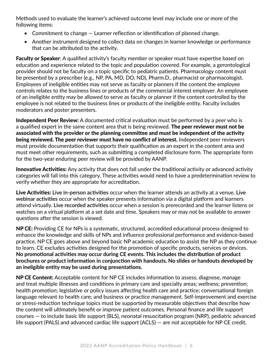Methods used to evaluate the learner's achieved outcome level may include one or more of the following items:

- Commitment to change Learner reflection or identification of planned change.
- Another instrument designed to collect data on changes in learner knowledge or performance that can be attributed to the activity.

Faculty or Speaker: A qualified activity's faculty member or speaker must have expertise based on education and experience related to the topic and population covered. For example, a gerontological provider should not be faculty on a topic specific to pediatric patients. Pharmacology content must be presented by a prescriber (e.g., NP, PA, MD, DO, ND), Pharm.D., pharmacist or pharmacologist. Employees of ineligible entities may not serve as faculty or planners if the content the employee controls relates to the business lines or products of the commercial interest employer. An employee of an ineligible entity may be allowed to serve as faculty or planner if the content controlled by the employee is not related to the business lines or products of the ineligible entity. Faculty includes moderators and poster presenters.

Independent Peer Review: A documented critical evaluation must be performed by a peer who is a qualified expert in the same content area that is being reviewed. The peer reviewer must not be associated with the provider or the planning committee and must be independent of the activity being reviewed. The peer reviewer must have no conflict of interest. Independent peer reviewers must provide documentation that supports their qualification as an expert in the content area and must meet other requirements, such as submitting a completed disclosure form. The appropriate form for the two-year enduring peer review will be provided by AANP.

Innovative Activities: Any activity that does not fall under the traditional activity or advanced activity categories will fall into this category. These activities would need to have a predetermination review to verify whether they are appropriate for accreditation.

Live Activities: **Live in-person activities** occur when the learner attends an activity at a venue. **Live webinar activities** occur when the speaker presents information via a digital platform and learners attend virtually. **Live recorded activities** occur when a session is prerecorded and the learner listens or watches on a virtual platform at a set date and time. Speakers may or may not be available to answer questions after the session is viewed.

NP CE: Providing CE for NPs is a systematic, structured, accredited educational process designed to enhance the knowledge and skills of NPs and influence professional performance and evidence-based practice. NP CE goes above and beyond basic NP academic education to assist the NP as they continue to learn. CE excludes activities designed for the promotion of specific products, services or devices. **No promotional activities may occur during CE events. This includes the distribution of product brochures or product information in conjunction with handouts. No slides or handouts developed by an ineligible entity may be used during presentations.**

NP CE Content: Acceptable content for NP CE includes information to assess, diagnose, manage and treat multiple illnesses and conditions in primary care and specialty areas; wellness; prevention; health promotion; legislative or policy issues affecting health care and practice; conversational foreign language relevant to health care; and business or practice management. Self-improvement and exercise or stress-reduction technique topics must be supported by measurable objectives that describe how the content will ultimately benefit or improve patient outcomes. Personal finance and life support courses — to include basic life support (BLS), neonatal resuscitation program (NRP), pediatric advanced life support (PALS) and advanced cardiac life support (ACLS) — are not acceptable for NP CE credit.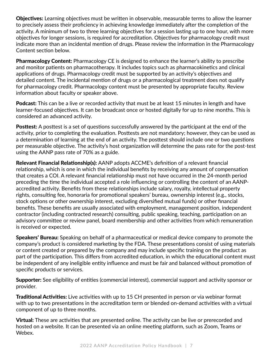**Objectives:** Learning objectives must be written in observable, measurable terms to allow the learner to precisely assess their proficiency in achieving knowledge immediately after the completion of the activity. A minimum of two to three learning objectives for a session lasting up to one hour, with more objectives for longer sessions, is required for accreditation. Objectives for pharmacology credit must indicate more than an incidental mention of drugs. Please review the information in the Pharmacology Content section below.

**Pharmacology Content:** Pharmacology CE is designed to enhance the learner's ability to prescribe and monitor patients on pharmacotherapy. It includes topics such as pharmacokinetics and clinical applications of drugs. Pharmacology credit must be supported by an activity's objectives and detailed content. The incidental mention of drugs or a pharmacological treatment does not qualify for pharmacology credit. Pharmacology content must be presented by appropriate faculty. Review information about faculty or speaker above.

Podcast: This can be a live or recorded activity that must be at least 15 minutes in length and have learner-focused objectives. It can be broadcast once or hosted digitally for up to nine months. This is considered an advanced activity.

**Posttest:** A posttest is a set of questions successfully answered by the participant at the end of the activity, prior to completing the evaluation. Posttests are not mandatory; however, they can be used as a determination of learning at the end of an activity. The posttest should include one or two questions per measurable objective. The activity's host organization will determine the pass rate for the post-test using the AANP pass rate of 70% as a guide.

Relevant Financial Relationship(s): AANP adopts ACCME's definition of a relevant financial relationship, which is one in which the individual benefits by receiving any amount of compensation that creates a COI. A relevant financial relationship must not have occurred in the 24-month period preceding the time the individual accepted a role influencing or controlling the content of an AANPaccredited activity. Benefits from these relationships include salary, royalty, intellectual property rights, consulting fee, honoraria for promotional speakers' bureau, ownership interest (e.g., stocks, stock options or other ownership interest, excluding diversified mutual funds) or other financial benefits. These benefits are usually associated with employment, management position, independent contractor (including contracted research) consulting, public speaking, teaching, participation on an advisory committee or review panel, board membership and other activities from which remuneration is received or expected.

**Speakers' Bureau:** Speaking on behalf of a pharmaceutical or medical device company to promote the company's product is considered marketing by the FDA. These presentations consist of using materials or content created or prepared by the company and may include specific training on the product as part of the participation. This differs from accredited education, in which the educational content must be independent of any ineligible entity influence and must be fair and balanced without promotion of specific products or services.

Supporter: See eligibility of entities (commercial interest), commercial support and activity sponsor or provider.

**Traditional Activities:** Live activities with up to 15 CH presented in person or via webinar format with up to two presentations in the accreditation term or blended on-demand activities with a virtual component of up to three months.

Virtual: These are activities that are presented online. The activity can be live or prerecorded and hosted on a website. It can be presented via an online meeting platform, such as Zoom, Teams or Webex.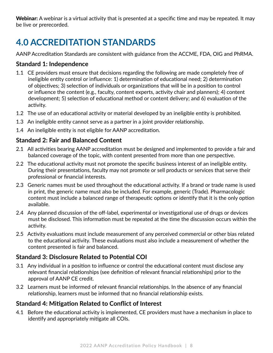Webinar: A webinar is a virtual activity that is presented at a specific time and may be repeated. It may be live or prerecorded.

# **4.0 ACCREDITATION STANDARDS**

AANP Accreditation Standards are consistent with guidance from the ACCME, FDA, OIG and PhRMA.

#### **Standard 1: Independence**

- 1.1 CE providers must ensure that decisions regarding the following are made completely free of ineligible entity control or influence: 1) determination of educational need; 2) determination of objectives; 3) selection of individuals or organizations that will be in a position to control or influence the content (e.g., faculty, content experts, activity chair and planners); 4) content development; 5) selection of educational method or content delivery; and 6) evaluation of the activity.
- 1.2 The use of an educational activity or material developed by an ineligible entity is prohibited.
- 1.3 An ineligible entity cannot serve as a partner in a joint provider relationship.
- 1.4 An ineligible entity is not eligible for AANP accreditation.

### **Standard 2: Fair and Balanced Content**

- 2.1 All activities bearing AANP accreditation must be designed and implemented to provide a fair and balanced coverage of the topic, with content presented from more than one perspective.
- 2.2 The educational activity must not promote the specific business interest of an ineligible entity. During their presentations, faculty may not promote or sell products or services that serve their professional or financial interests.
- 2.3 Generic names must be used throughout the educational activity. If a brand or trade name is used in print, the generic name must also be included. For example, generic (Trade). Pharmacologic content must include a balanced range of therapeutic options or identify that it is the only option available.
- 2.4 Any planned discussion of the off-label, experimental or investigational use of drugs or devices must be disclosed. This information must be repeated at the time the discussion occurs within the activity.
- 2.5 Activity evaluations must include measurement of any perceived commercial or other bias related to the educational activity. These evaluations must also include a measurement of whether the content presented is fair and balanced.

### **Standard 3: Disclosure Related to Potential COI**

- 3.1 Any individual in a position to influence or control the educational content must disclose any relevant financial relationships (see definition of relevant financial relationships) prior to the approval of AANP CE credit.
- 3.2 Learners must be informed of relevant financial relationships. In the absence of any financial relationship, learners must be informed that no financial relationship exists.

### **Standard 4: Mitigation Related to Conflict of Interest**

4.1 Before the educational activity is implemented, CE providers must have a mechanism in place to identify and appropriately mitigate all COIs.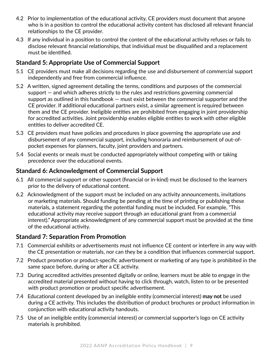- 4.2 Prior to implementation of the educational activity, CE providers must document that anyone who is in a position to control the educational activity content has disclosed all relevant financial relationships to the CE provider.
- 4.3 If any individual in a position to control the content of the educational activity refuses or fails to disclose relevant financial relationships, that individual must be disqualified and a replacement must be identified.

#### **Standard 5: Appropriate Use of Commercial Support**

- 5.1 CE providers must make all decisions regarding the use and disbursement of commercial support independently and free from commercial influence.
- 5.2 A written, signed agreement detailing the terms, conditions and purposes of the commercial support — and which adheres strictly to the rules and restrictions governing commercial support as outlined in this handbook — must exist between the commercial supporter and the CE provider. If additional educational partners exist, a similar agreement is required between them and the CE provider. Ineligible entities are prohibited from engaging in joint providership for accredited activities. Joint providership enables eligible entities to work with other eligible entities to deliver accredited CE.
- 5.3 CE providers must have policies and procedures in place governing the appropriate use and disbursement of any commercial support, including honoraria and reimbursement of out-ofpocket expenses for planners, faculty, joint providers and partners.
- 5.4 Social events or meals must be conducted appropriately without competing with or taking precedence over the educational events.

#### **Standard 6: Acknowledgment of Commercial Support**

- 6.1 All commercial support or other support (financial or in-kind) must be disclosed to the learners prior to the delivery of educational content.
- 6.2 Acknowledgment of the support must be included on any activity announcements, invitations or marketing materials. Should funding be pending at the time of printing or publishing these materials, a statement regarding the potential funding must be included. For example, "This educational activity may receive support through an educational grant from a commercial interest)." Appropriate acknowledgment of any commercial support must be provided at the time of the educational activity.

#### **Standard 7: Separation From Promotion**

- 7.1 Commercial exhibits or advertisements must not influence CE content or interfere in any way with the CE presentation or materials, nor can they be a condition that influences commercial support.
- 7.2 Product promotion or product-specific advertisement or marketing of any type is prohibited in the same space before, during or after a CE activity.
- 7.3 During accredited activities presented digitally or online, learners must be able to engage in the accredited material presented without having to click through, watch, listen to or be presented with product promotion or product specific advertisement.
- 7.4 Educational content developed by an ineligible entity (commercial interest) **may not** be used during a CE activity. This includes the distribution of product brochures or product information in conjunction with educational activity handouts.
- 7.5 Use of an ineligible entity (commercial interest) or commercial supporter's logo on CE activity materials is prohibited.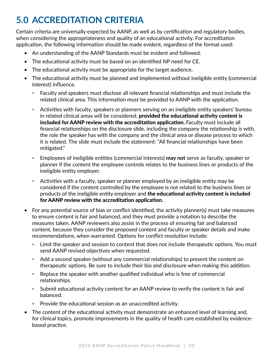# **5.0 ACCREDITATION CRITERIA**

Certain criteria are universally expected by AANP, as well as by certification and regulatory bodies, when considering the appropriateness and quality of an educational activity. For accreditation application, the following information should be made evident, regardless of the format used:

- An understanding of the AANP Standards must be evident and followed.
- The educational activity must be based on an identified NP need for CE.
- The educational activity must be appropriate for the target audience.
- The educational activity must be planned and implemented without ineligible entity (commercial interest) influence.
	- Faculty and speakers must disclose all relevant financial relationships and must include the related clinical area. This information must be provided to AANP with the application.
	- Activities with faculty, speakers or planners serving on an ineligible entity speakers' bureau in related clinical areas will be considered, **provided the educational activity content is** included for AANP review with the accreditation application. Faculty must include all financial relationships on the disclosure slide, including the company the relationship is with, the role the speaker has with the company and the clinical area or disease process to which it is related. The slide must include the statement: "All financial relationships have been mitigated."
	- Employees of ineligible entities (commercial interests) **may not** serve as faculty, speaker or planner if the content the employee controls relates to the business lines or products of the ineligible entity employer.
	- Activities with a faculty, speaker or planner employed by an ineligible entity may be considered if the content controlled by the employee is not related to the business lines or products of the ineligible entity employer and the educational activity content is included for AANP review with the accreditation application.
- For any potential source of bias or conflict identified, the activity planner(s) must take measures to ensure content is fair and balanced, and they must provide a notation to describe the measures taken. AANP reviewers also assist in the process of ensuring fair and balanced content, because they consider the proposed content and faculty or speaker details and make recommendations, when warranted. Options for conflict resolution include:
	- Limit the speaker and session to content that does not include therapeutic options. You must send AANP revised objectives when requested.
	- Add a second speaker (without any commercial relationships) to present the content on therapeutic options. Be sure to include their bio and disclosure when making this addition.
	- Replace the speaker with another qualified individual who is free of commercial relationships.
	- Submit educational activity content for an AANP review to verify the content is fair and balanced.
	- Provide the educational session as an unaccredited activity.
- The content of the educational activity must demonstrate an enhanced level of learning and, for clinical topics, promote improvements in the quality of health care established by evidencebased practice.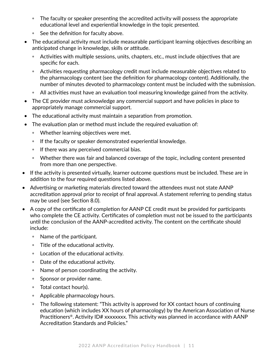- The faculty or speaker presenting the accredited activity will possess the appropriate educational level and experiential knowledge in the topic presented.
- See the definition for faculty above.
- The educational activity must include measurable participant learning objectives describing an anticipated change in knowledge, skills or attitude.
	- Activities with multiple sessions, units, chapters, etc., must include objectives that are specific for each.
	- Activities requesting pharmacology credit must include measurable objectives related to the pharmacology content (see the definition for pharmacology content). Additionally, the number of minutes devoted to pharmacology content must be included with the submission.
	- All activities must have an evaluation tool measuring knowledge gained from the activity.
- The CE provider must acknowledge any commercial support and have policies in place to appropriately manage commercial support.
- The educational activity must maintain a separation from promotion.
- The evaluation plan or method must include the required evaluation of:
	- Whether learning objectives were met.
	- If the faculty or speaker demonstrated experiential knowledge.
	- If there was any perceived commercial bias.
	- Whether there was fair and balanced coverage of the topic, including content presented from more than one perspective.
- If the activity is presented virtually, learner outcome questions must be included. These are in addition to the four required questions listed above.
- Advertising or marketing materials directed toward the attendees must not state AANP accreditation approval prior to receipt of final approval. A statement referring to pending status may be used (see Section 8.0).
- A copy of the certificate of completion for AANP CE credit must be provided for participants who complete the CE activity. Certificates of completion must not be issued to the participants until the conclusion of the AANP-accredited activity. The content on the certificate should include:
	- Name of the participant.
	- Title of the educational activity.
	- Location of the educational activity.
	- Date of the educational activity.
	- Name of person coordinating the activity.
	- Sponsor or provider name.
	- Total contact hour(s).
	- Applicable pharmacology hours.
	- The following statement: "This activity is approved for XX contact hours of continuing education (which includes XX hours of pharmacology) by the American Association of Nurse Practitioners®. Activity ID# xxxxxxxx. This activity was planned in accordance with AANP Accreditation Standards and Policies."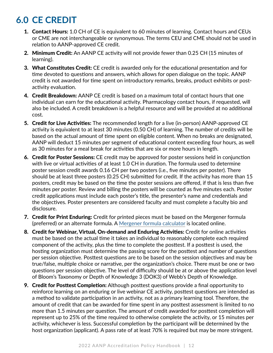# **6.0 CE CREDIT**

- **1. Contact Hours:** 1.0 CH of CE is equivalent to 60 minutes of learning. Contact hours and CEUs or CME are not interchangeable or synonymous. The terms CEU and CME should not be used in relation to AANP-approved CE credit.
- 2. Minimum Credit: An AANP CE activity will not provide fewer than 0.25 CH (15 minutes of learning).
- **3. What Constitutes Credit:** CE credit is awarded only for the educational presentation and for time devoted to questions and answers, which allows for open dialogue on the topic. AANP credit is not awarded for time spent on introductory remarks, breaks, product exhibits or postactivity evaluation.
- 4. Credit Breakdown: AANP CE credit is based on a maximum total of contact hours that one individual can earn for the educational activity. Pharmacology contact hours, if requested, will also be included. A credit breakdown is a helpful resource and will be provided at no additional cost.
- 5. Credit for Live Activities: The recommended length for a live (in-person) AANP-approved CE activity is equivalent to at least 30 minutes (0.50 CH) of learning. The number of credits will be based on the actual amount of time spent on eligible content. When no breaks are designated, AANP will deduct 15 minutes per segment of educational content exceeding four hours, as well as 30 minutes for a meal break for activities that are six or more hours in length.
- 6. Credit for Poster Sessions: CE credit may be approved for poster sessions held in conjunction with live or virtual activities of at least 1.0 CH in duration. The formula used to determine poster session credit awards 0.16 CH per two posters (i.e., five minutes per poster). There should be at least three posters (0.25 CH) submitted for credit. If the activity has more than 15 posters, credit may be based on the time the poster sessions are offered, if that is less than five minutes per poster. Review and billing the posters will be counted as five minutes each. Poster credit applications must include each poster's title, the presenter's name and credentials and the objectives. Poster presenters are considered faculty and must complete a faculty bio and disclosure.
- 7. Credit for Print Enduring: Credit for printed pieces must be based on the Mergener formula (preferred) or an alternate formula. A [Mergener formula calculator](http://touchcalc.com/calculators/mergener) is located online.
- 8. Credit for Webinar, Virtual, On-demand and Enduring Activities: Credit for online activities must be based on the actual time it takes an individual to reasonably complete each required component of the activity, plus the time to complete the posttest. If a posttest is used, the hosting organization must determine the passing score for the posttest and number of questions per session objective. Posttest questions are to be based on the session objectives and may be true/false, multiple choice or narrative, per the organization's choice. There must be one or two questions per session objective. The level of difficulty should be at or above the application level of Bloom's Taxonomy or Depth of Knowledge 3 (DOK3) of Webb's Depth of Knowledge.
- **9. Credit for Posttest Completion:** Although posttest questions provide a final opportunity to reinforce learning on an enduring or live webinar CE activity, posttest questions are intended as a method to validate participation in an activity, not as a primary learning tool. Therefore, the amount of credit that can be awarded for time spent in any posttest assessment is limited to no more than 1.5 minutes per question. The amount of credit awarded for posttest completion will represent up to 25% of the time required to otherwise complete the activity, or 15 minutes per activity, whichever is less. Successful completion by the participant will be determined by the host organization (applicant). A pass rate of at least 70% is required but may be more stringent.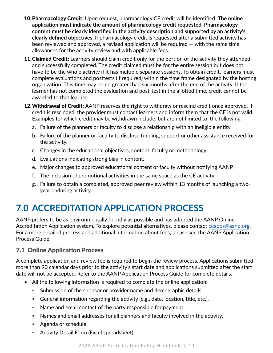- 10.Pharmacology Credit: Upon request, pharmacology CE credit will be identified. **The online application must indicate the amount of pharmacology credit requested. Pharmacology content must be clearly identified in the activity description and supported by an activity's clearly defined objectives.** If pharmacology credit is requested after a submitted activity has been reviewed and approved, a revised application will be required — with the same time allowances for the activity review and with applicable fees.
- 11. Claimed Credit: Learners should claim credit only for the portion of the activity they attended and successfully completed. The credit claimed must be for the entire session but does not have to be the whole activity if it has multiple separate sessions. To obtain credit, learners must complete evaluations and posttests (if required) within the time frame designated by the hosting organization. This time may be no greater than six months after the end of the activity. If the learner has not completed the evaluation and post-test in the allotted time, credit cannot be awarded to that learner.
- 12. Withdrawal of Credit: AANP reserves the right to withdraw or rescind credit once approved. If credit is rescinded, the provider must contact learners and inform them that the CE is not valid. Examples for which credit may be withdrawn include, but are not limited to, the following:
	- a. Failure of the planners or faculty to disclose a relationship with an ineligible entity.
	- b. Failure of the planner or faculty to disclose funding, support or other assistance received for the activity.
	- c. Changes in the educational objectives, content, faculty or methodology.
	- d. Evaluations indicating strong bias in content.
	- e. Major changes to approved educational content or faculty without notifying AANP.
	- f. The inclusion of promotional activities in the same space as the CE activity.
	- g. Failure to obtain a completed, approved peer review within 13 months of launching a twoyear enduring activity.

# **7.0 ACCREDITATION APPLICATION PROCESS**

AANP prefers to be as environmentally friendly as possible and has adopted the AANP Online Accreditation Application system. To explore potential alternatives, please contact [ceapps@aanp.org](mailto:ceapps@aanp.org). For a more detailed process and additional information about fees, please see the AANP Application Process Guide.

### 7.1 Online Application Process

A complete application and review fee is required to begin the review process. Applications submitted more than 90 calendar days prior to the activity's start date and applications submitted after the start date will not be accepted. Refer to the AANP Application Process Guide for complete details.

- All the following information is required to complete the online application:
	- Submission of the sponsor or provider name and demographic details.
	- General information regarding the activity (e.g., date, location, title, etc.).
	- Name and email contact of the party responsible for payment.
	- Names and email addresses for all planners and faculty involved in the activity.
	- Agenda or schedule.
	- Activity Detail Form (Excel spreadsheet).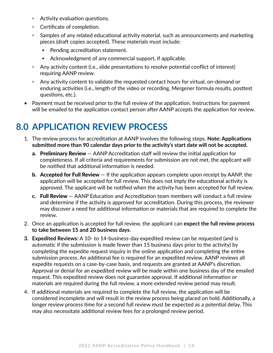- Activity evaluation questions.
- Certificate of completion.
- Samples of any related educational activity material, such as announcements and marketing pieces (draft copies accepted). These materials must include:
	- Pending accreditation statement.
	- Acknowledgment of any commercial support, if applicable.
- Any activity content (i.e., slide presentations to resolve potential conflict of interest) requiring AANP review.
- Any activity content to validate the requested contact hours for virtual, on-demand or enduring activities (i.e., length of the video or recording, Mergener formula results, posttest questions, etc.).
- Payment must be received prior to the full review of the application. Instructions for payment will be emailed to the application contact person after AANP accepts the application for review.

# **8.0 APPLICATION REVIEW PROCESS**

- 1. The review process for accreditation at AANP involves the following steps. **Note: Applications submitted more than 90 calendar days prior to the activity's start date will not be accepted.**
	- a. Preliminary Review AANP Accreditation staff will review the initial application for completeness. If all criteria and requirements for submission are not met, the applicant will be notified that additional information is needed.
	- **b. Accepted for Full Review**  $-$  If the application appears complete upon receipt by AANP, the application will be accepted for full review. This does not imply the educational activity is approved. The applicant will be notified when the activity has been accepted for full review.
	- c. Full Review AANP Education and Accreditation team members will conduct a full review and determine if the activity is approved for accreditation. During this process, the reviewer may discover a need for additional information or materials that are required to complete the review.
- 2. Once an application is accepted for full review, the applicant can **expect the full review process to take between 15 and 20 business days**.
- **3. Expedited Reviews:** A 10- to 14-business-day expedited review can be requested (and is automatic if the submission is made fewer than 15 business days prior to the activity) by completing the expedite request inquiry in the online application and completing the entire submission process. An additional fee is required for an expedited review. AANP reviews all expedite requests on a case-by-case basis, and requests are granted at AANP's discretion. Approval or denial for an expedited review will be made within one business day of the emailed request. This expedited review does not guarantee approval. If additional information or materials are required during the full review, a more extended review period may result.
- 4. If additional materials are required to complete the full review, the application will be considered incomplete and will result in the review process being placed on hold. Additionally, a longer review process time for a second full review must be expected as a potential delay. This may also necessitate additional review fees for a prolonged review period.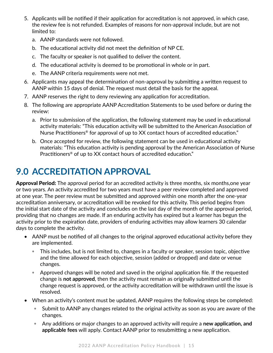- 5. Applicants will be notified if their application for accreditation is not approved, in which case, the review fee is not refunded. Examples of reasons for non-approval include, but are not limited to:
	- a. AANP standards were not followed.
	- b. The educational activity did not meet the definition of NP CE.
	- c. The faculty or speaker is not qualified to deliver the content.
	- d. The educational activity is deemed to be promotional in whole or in part.
	- e. The AANP criteria requirements were not met.
- 6. Applicants may appeal the determination of non-approval by submitting a written request to AANP within 15 days of denial. The request must detail the basis for the appeal.
- 7. AANP reserves the right to deny reviewing any application for accreditation.
- 8. The following are appropriate AANP Accreditation Statements to be used before or during the review:
	- a. Prior to submission of the application, the following statement may be used in educational activity materials: "This education activity will be submitted to the American Association of Nurse Practitioners® for approval of up to XX contact hours of accredited education."
	- b. Once accepted for review, the following statement can be used in educational activity materials: "This education activity is pending approval by the American Association of Nurse Practitioners® of up to XX contact hours of accredited education."

# **9.0 ACCREDITATION APPROVAL**

Approval Period: The approval period for an accredited activity is three months, six months, one year or two years. An activity accredited for two years must have a peer review completed and approved at one year. The peer review must be submitted and approved within one month after the one-year accreditation anniversary, or accreditation will be revoked for this activity. This period begins from the initial start date of the activity and concludes on the last day of the month of the approval period, providing that no changes are made. If an enduring activity has expired but a learner has begun the activity prior to the expiration date, providers of enduring activities may allow learners 30 calendar days to complete the activity.

- AANP must be notified of all changes to the original approved educational activity before they are implemented.
	- This includes, but is not limited to, changes in a faculty or speaker, session topic, objective and the time allowed for each objective, session (added or dropped) and date or venue changes.
	- Approved changes will be noted and saved in the original application file. If the requested change is **not approved**, then the activity must remain as originally submitted until the change request is approved, or the activity accreditation will be withdrawn until the issue is resolved.
- When an activity's content must be updated, AANP requires the following steps be completed:
	- Submit to AANP any changes related to the original activity as soon as you are aware of the changes.
	- Any additions or major changes to an approved activity will require a **new application, and applicable fees** will apply. Contact AANP prior to resubmitting a new application.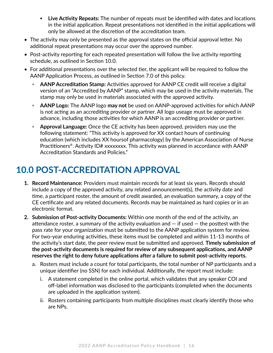- **Live Activity Repeats:** The number of repeats must be identified with dates and locations in the initial application. Repeat presentations not identified in the initial applications will only be allowed at the discretion of the accreditation team.
- The activity may only be presented as the approval states on the official approval letter. No additional repeat presentations may occur over the approved number.
- Post-activity reporting for each repeated presentation will follow the live activity reporting schedule, as outlined in Section 10.0.
- For additional presentations over the selected tier, the applicant will be required to follow the AANP Application Process, as outlined in Section 7.0 of this policy.
	- **AANP Accreditation Stamp:** Activities approved for AANP CE credit will receive a digital version of an "Accredited by AANP" stamp, which may be used in the activity materials. The stamp may only be used in materials associated with the approved activity.
	- **AANP Logo:** The AANP logo **may not** be used on AANP-approved activities for which AANP is not acting as an accrediting provider or partner. All logo useage must be approved in advance, including those activities for which AANP is an accrediting provider or partner.
	- **Approval Language:** Once the CE activity has been approved, providers may use the following statement: "This activity is approved for XX contact hours of continuing education (which includes XX hoursof pharmacology) by the American Association of Nurse Practitioners®. Activity ID# xxxxxxxx. This activity was planned in accordance with AANP Accreditation Standards and Policies."

## **10.0 POST-ACCREDITATION APPROVAL**

- **1. Record Maintenance:** Providers must maintain records for at least six years. Records should include a copy of the approved activity, any related announcement(s), the activity date and time, a participant roster, the amount of credit awarded, an evaluation summary, a copy of the CE certificate and any related documents. Records may be maintained as hard copies or in an electronic format.
- **2. Submission of Post-activity Documents:** Within one month of the end of the activity, an attendance roster, a summary of the activity evaluation and  $-$  if used  $-$  the posttest with the pass rate for your organization must be submitted to the AANP application system for review. For two-year enduring activities, these items must be completed and within 11-13 months of the activity's start date, the peer review must be submitted and approved. **Timely submission of the post-activity documents is required for review of any subsequent applications, and AANP reserves the right to deny future applications after a failure to submit post-activity reports.**
	- a. Rosters must include a count for total participants, the total number of NP participants and a unique identifier (no SSN) for each individual. Additionally, the report must include:
		- i. A statement completed in the online portal, which validates that any speaker COI and off-label information was disclosed to the participants (completed when the documents are uploaded in the application system).
		- ii. Rosters containing participants from multiple disciplines must clearly identify those who are NPs.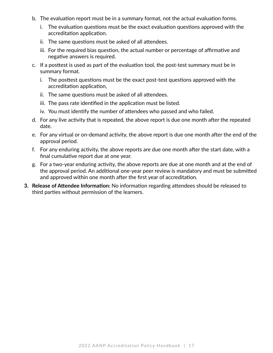- b. The evaluation report must be in a summary format, not the actual evaluation forms.
	- i. The evaluation questions must be the exact evaluation questions approved with the accreditation application.
	- ii. The same questions must be asked of all attendees.
	- iii. For the required bias question, the actual number or percentage of affirmative and negative answers is required.
- c. If a posttest is used as part of the evaluation tool, the post-test summary must be in summary format.
	- i. The posttest questions must be the exact post-test questions approved with the accreditation application,
	- ii. The same questions must be asked of all attendees.
	- iii. The pass rate identified in the application must be listed.
	- iv. You must identify the number of attendees who passed and who failed.
- d. For any live activity that is repeated, the above report is due one month after the repeated date.
- e. For any virtual or on-demand activity, the above report is due one month after the end of the approval period.
- f. For any enduring activity, the above reports are due one month after the start date, with a final cumulative report due at one year.
- g. For a two-year enduring activity, the above reports are due at one month and at the end of the approval period. An additional one-year peer review is mandatory and must be submitted and approved within one month after the first year of accreditation.
- **3. Release of Attendee Information:** No information regarding attendees should be released to third parties without permission of the learners.